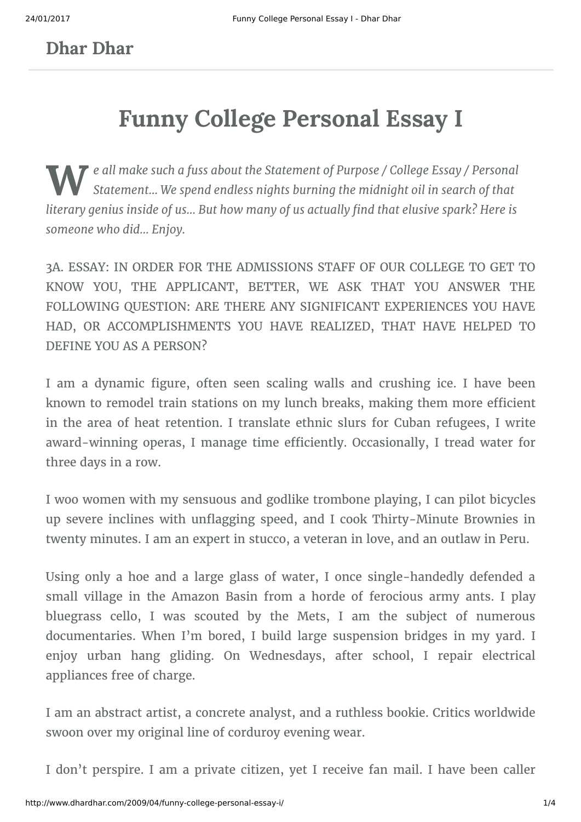### **[Dhar](http://www.dhardhar.com/) Dhar**

# **Funny College Personal Essay I**

**W** *e all make such a fuss about the Statement of Purpose / College Essay / Personal Statement… We spend endless nights burning the midnight oil in search of that literary genius inside of us… But how many of us actually nd that elusive spark? Here is someone who did… Enjoy.*

3A. ESSAY: IN ORDER FOR THE ADMISSIONS STAFF OF OUR COLLEGE TO GET TO KNOW YOU, THE APPLICANT, BETTER, WE ASK THAT YOU ANSWER THE FOLLOWING QUESTION: ARE THERE ANY SIGNIFICANT EXPERIENCES YOU HAVE HAD, OR ACCOMPLISHMENTS YOU HAVE REALIZED, THAT HAVE HELPED TO DEFINE YOU AS A PERSON?

I am a dynamic figure, often seen scaling walls and crushing ice. I have been known to remodel train stations on my lunch breaks, making them more efficient in the area of heat retention. I translate ethnic slurs for Cuban refugees, I write award-winning operas, I manage time efficiently. Occasionally, I tread water for three days in a row.

I woo women with my sensuous and godlike trombone playing, I can pilot bicycles up severe inclines with unflagging speed, and I cook Thirty-Minute Brownies in twenty minutes. I am an expert in stucco, a veteran in love, and an outlaw in Peru.

Using only a hoe and a large glass of water, I once single-handedly defended a small village in the Amazon Basin from a horde of ferocious army ants. I play bluegrass cello, I was scouted by the Mets, I am the subject of numerous documentaries. When I'm bored, I build large suspension bridges in my yard. I enjoy urban hang gliding. On Wednesdays, after school, I repair electrical appliances free of charge.

I am an abstract artist, a concrete analyst, and a ruthless bookie. Critics worldwide swoon over my original line of corduroy evening wear.

I don't perspire. I am a private citizen, yet I receive fan mail. I have been caller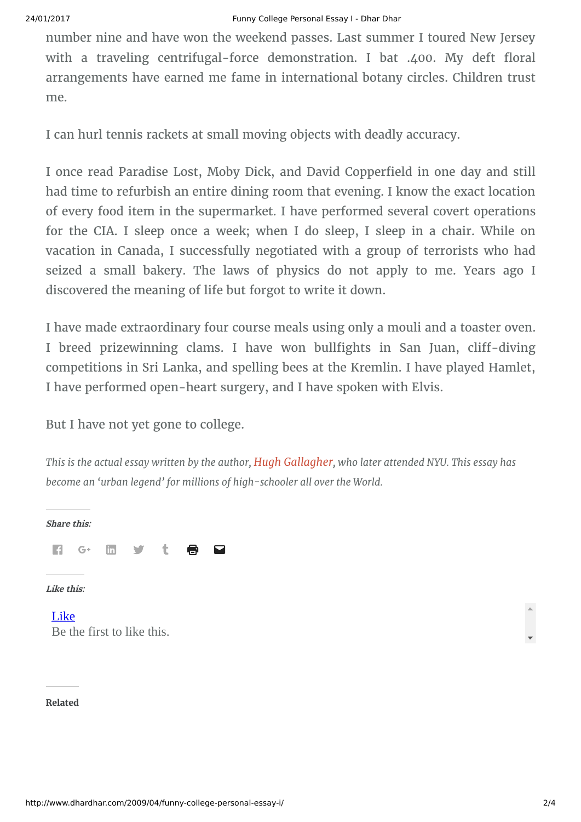number nine and have won the weekend passes. Last summer I toured New Jersey with a traveling centrifugal-force demonstration. I bat .400. My deft floral arrangements have earned me fame in international botany circles. Children trust me.

I can hurl tennis rackets at small moving objects with deadly accuracy.

I once read Paradise Lost, Moby Dick, and David Copperfield in one day and still had time to refurbish an entire dining room that evening. I know the exact location of every food item in the supermarket. I have performed several covert operations for the CIA. I sleep once a week; when I do sleep, I sleep in a chair. While on vacation in Canada, I successfully negotiated with a group of terrorists who had seized a small bakery. The laws of physics do not apply to me. Years ago I discovered the meaning of life but forgot to write it down.

I have made extraordinary four course meals using only a mouli and a toaster oven. I breed prizewinning clams. I have won bullfights in San Juan, cliff-diving competitions in Sri Lanka, and spelling bees at the Kremlin. I have played Hamlet, I have performed open-heart surgery, and I have spoken with Elvis.

But I have not yet gone to college.

This is the actual essay written by the author, **Hugh [Gallagher](http://en.wikipedia.org/wiki/Hugh_Gallagher_%28humorist%29)**, who later attended NYU. This essay has *become an 'urban legend' for millions of high-schooler all over the World.*

#### **Share this:**

日 G+ 回 9 七 号 日

#### **Like this:**

Like Be the first to like this.

#### **Related**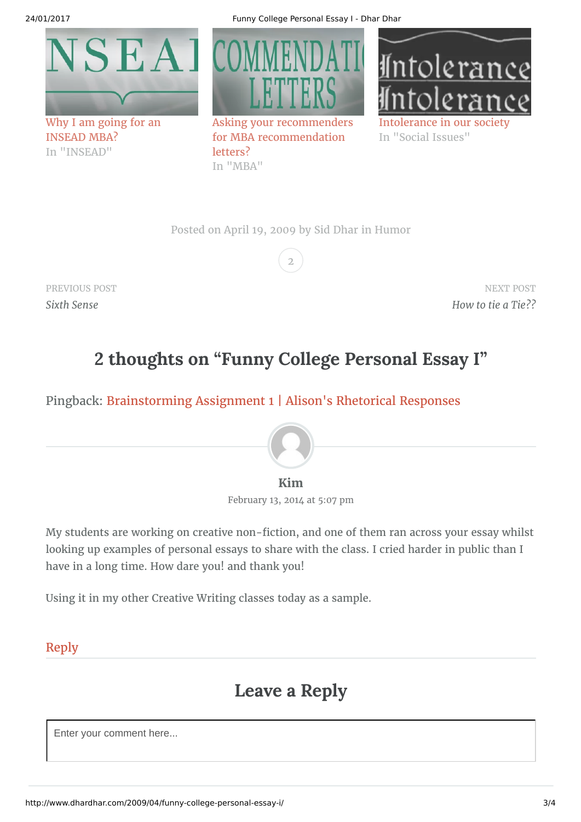

Why I am going for an [INSEAD](http://www.dhardhar.com/2016/07/why-insead-mba/) MBA? In "INSEAD"



Asking your recommenders for MBA [recommendation](http://www.dhardhar.com/2016/06/asking-your-recommenders-for-mba-recommendation/) letters? In "MBA"



Posted on April 19, [2009](http://www.dhardhar.com/2009/04/funny-college-personal-essay-i/) by Sid [Dhar](http://www.dhardhar.com/author/admin/) in [Humor](http://www.dhardhar.com/category/humor/)

[2](#page-2-0)



*How to tie a [Tie??](http://www.dhardhar.com/2009/05/how-to-tie-a-tie/)* NEXT POST

## <span id="page-2-0"></span>**2 thoughts on "Funny College Personal Essay I"**

<span id="page-2-1"></span>Pingback: [Brainstorming](http://alisonrhetoric.wordpress.com/2013/01/25/brainstorming-assignment-1/) Assignment 1 | Alison's Rhetorical Responses



[February](#page-2-1) 13, 2014 at 5:07 pm

My students are working on creative non-fiction, and one of them ran across your essay whilst looking up examples of personal essays to share with the class. I cried harder in public than I have in a long time. How dare you! and thank you!

Using it in my other Creative Writing classes today as a sample.

### [Reply](http://www.dhardhar.com/2009/04/funny-college-personal-essay-i/?replytocom=145#respond)

### **Leave a Reply**

Enter your comment here...